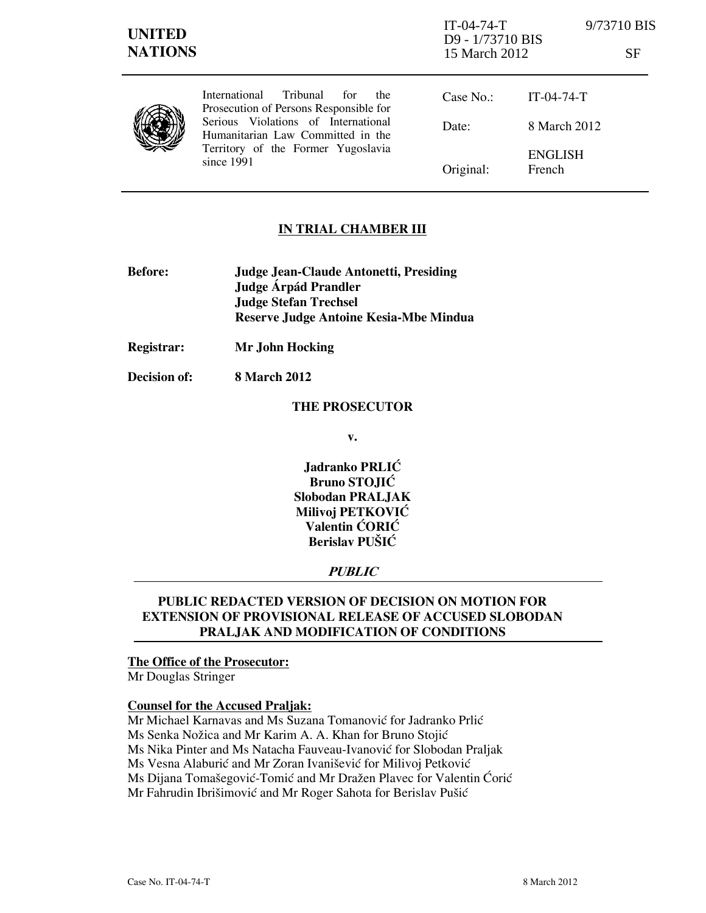| <b>UNITED</b><br><b>NATIONS</b> |                                                                                                                                                                                                                          | $IT-04-74-T$<br>D9 - 1/73710 BIS<br>15 March 2012 |                          | 9/73710 BIS<br>SF |
|---------------------------------|--------------------------------------------------------------------------------------------------------------------------------------------------------------------------------------------------------------------------|---------------------------------------------------|--------------------------|-------------------|
|                                 | Tribunal<br><b>International</b><br>for<br>the<br>Prosecution of Persons Responsible for<br>Serious Violations of International<br>Humanitarian Law Committed in the<br>Territory of the Former Yugoslavia<br>since 1991 | Case No.:                                         | $IT-04-74-T$             |                   |
|                                 |                                                                                                                                                                                                                          | Date:                                             | 8 March 2012             |                   |
|                                 |                                                                                                                                                                                                                          | Original:                                         | <b>ENGLISH</b><br>French |                   |

# IN TRIAL CHAMBER III

- Before: Judge Jean-Claude Antonetti, Presiding Judge Árpád Prandler Judge Stefan Trechsel Reserve Judge Antoine Kesia-Mbe Mindua
- Registrar: Mr John Hocking

Decision of: 8 March 2012

#### THE PROSECUTOR

v.

Jadranko PRLIĆ Bruno STOJIĆ Slobodan PRALJAK Milivoj PETKOVIĆ Valentin ĆORIĆ Berislav PUŠIĆ

## PUBLIC

# PUBLIC REDACTED VERSION OF DECISION ON MOTION FOR EXTENSION OF PROVISIONAL RELEASE OF ACCUSED SLOBODAN PRALJAK AND MODIFICATION OF CONDITIONS

# The Office of the Prosecutor:

Mr Douglas Stringer

## Counsel for the Accused Praljak:

Mr Michael Karnavas and Ms Suzana Tomanović for Jadranko Prlić Ms Senka Nožica and Mr Karim A. A. Khan for Bruno Stojić Ms Nika Pinter and Ms Natacha Fauveau-Ivanović for Slobodan Praljak Ms Vesna Alaburić and Mr Zoran Ivanišević for Milivoj Petković Ms Dijana Tomašegović-Tomić and Mr Dražen Plavec for Valentin Ćorić Mr Fahrudin Ibrišimović and Mr Roger Sahota for Berislav Pušić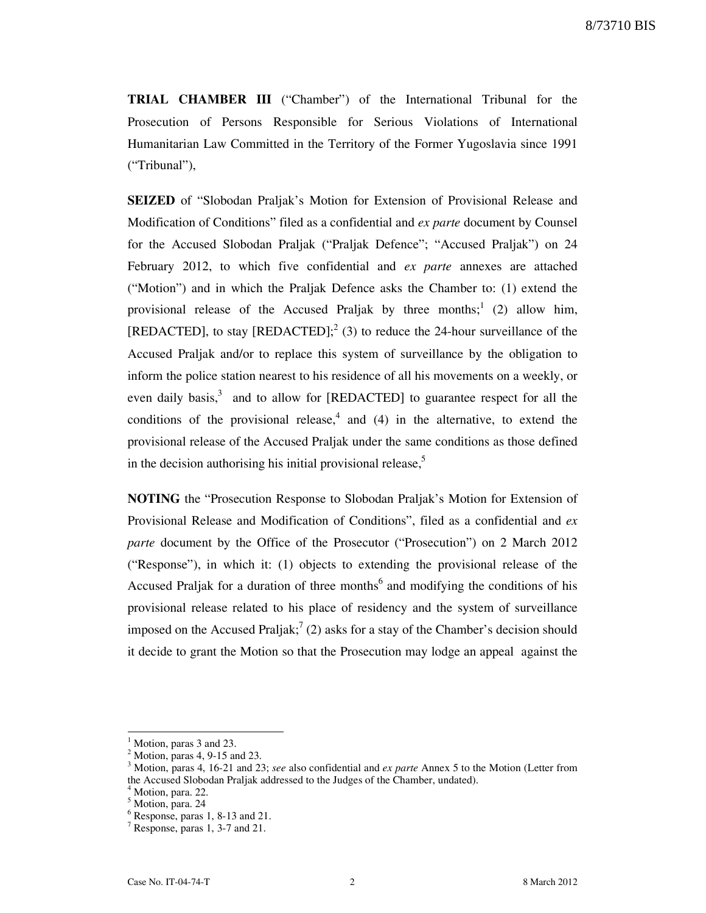8/73710 BIS

TRIAL CHAMBER III ("Chamber") of the International Tribunal for the Prosecution of Persons Responsible for Serious Violations of International Humanitarian Law Committed in the Territory of the Former Yugoslavia since 1991 ("Tribunal"),

SEIZED of "Slobodan Praljak's Motion for Extension of Provisional Release and Modification of Conditions" filed as a confidential and ex parte document by Counsel for the Accused Slobodan Praljak ("Praljak Defence"; "Accused Praljak") on 24 February 2012, to which five confidential and ex parte annexes are attached ("Motion") and in which the Praljak Defence asks the Chamber to: (1) extend the provisional release of the Accused Praljak by three months;<sup>1</sup> (2) allow him, [REDACTED], to stay [REDACTED];<sup>2</sup> (3) to reduce the 24-hour surveillance of the Accused Praljak and/or to replace this system of surveillance by the obligation to inform the police station nearest to his residence of all his movements on a weekly, or even daily basis, $3$  and to allow for [REDACTED] to guarantee respect for all the conditions of the provisional release,  $4$  and (4) in the alternative, to extend the provisional release of the Accused Praljak under the same conditions as those defined in the decision authorising his initial provisional release, $5$ 

NOTING the "Prosecution Response to Slobodan Praljak's Motion for Extension of Provisional Release and Modification of Conditions", filed as a confidential and ex parte document by the Office of the Prosecutor ("Prosecution") on 2 March 2012 ("Response"), in which it: (1) objects to extending the provisional release of the Accused Praljak for a duration of three months<sup>6</sup> and modifying the conditions of his provisional release related to his place of residency and the system of surveillance imposed on the Accused Praljak;  $(2)$  asks for a stay of the Chamber's decision should it decide to grant the Motion so that the Prosecution may lodge an appeal against the

<sup>&</sup>lt;sup>1</sup> Motion, paras 3 and 23.

<sup>2</sup> Motion, paras 4, 9-15 and 23.

<sup>&</sup>lt;sup>3</sup> Motion, paras 4, 16-21 and 23; see also confidential and ex parte Annex 5 to the Motion (Letter from the Accused Slobodan Praljak addressed to the Judges of the Chamber, undated).

<sup>4</sup> Motion, para. 22.

<sup>&</sup>lt;sup>5</sup> Motion, para. 24

<sup>6</sup> Response, paras 1, 8-13 and 21.

<sup>7</sup> Response, paras 1, 3-7 and 21.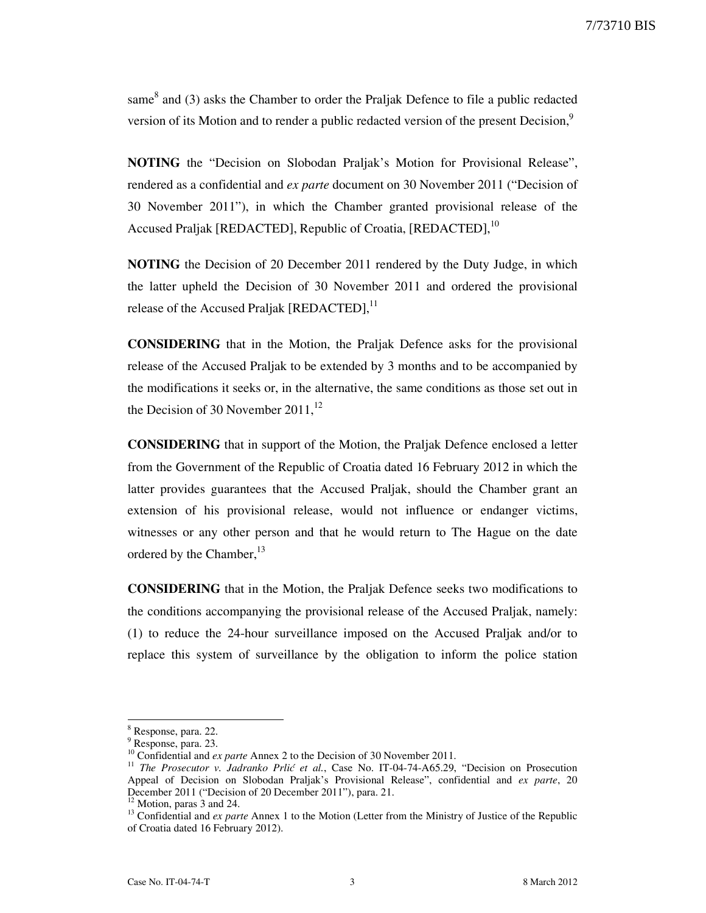same $^8$  and (3) asks the Chamber to order the Praljak Defence to file a public redacted version of its Motion and to render a public redacted version of the present Decision,<sup>9</sup>

NOTING the "Decision on Slobodan Praljak's Motion for Provisional Release", rendered as a confidential and ex parte document on 30 November 2011 ("Decision of 30 November 2011"), in which the Chamber granted provisional release of the Accused Praljak [REDACTED], Republic of Croatia, [REDACTED],<sup>10</sup>

NOTING the Decision of 20 December 2011 rendered by the Duty Judge, in which the latter upheld the Decision of 30 November 2011 and ordered the provisional release of the Accused Praljak [REDACTED],<sup>11</sup>

CONSIDERING that in the Motion, the Praljak Defence asks for the provisional release of the Accused Praljak to be extended by 3 months and to be accompanied by the modifications it seeks or, in the alternative, the same conditions as those set out in the Decision of 30 November  $2011<sup>12</sup>$ 

CONSIDERING that in support of the Motion, the Praljak Defence enclosed a letter from the Government of the Republic of Croatia dated 16 February 2012 in which the latter provides guarantees that the Accused Praljak, should the Chamber grant an extension of his provisional release, would not influence or endanger victims, witnesses or any other person and that he would return to The Hague on the date ordered by the Chamber,<sup>13</sup>

CONSIDERING that in the Motion, the Praljak Defence seeks two modifications to the conditions accompanying the provisional release of the Accused Praljak, namely: (1) to reduce the 24-hour surveillance imposed on the Accused Praljak and/or to replace this system of surveillance by the obligation to inform the police station

<sup>&</sup>lt;sup>8</sup> Response, para. 22.

<sup>9</sup> Response, para. 23.

<sup>&</sup>lt;sup>10</sup> Confidential and *ex parte* Annex 2 to the Decision of 30 November 2011.

<sup>&</sup>lt;sup>11</sup> The Prosecutor v. Jadranko Prlić et al., Case No. IT-04-74-A65.29, "Decision on Prosecution Appeal of Decision on Slobodan Praljak's Provisional Release", confidential and ex parte, 20 December 2011 ("Decision of 20 December 2011"), para. 21.

<sup>&</sup>lt;sup>12</sup> Motion, paras 3 and 24.

 $13$  Confidential and *ex parte* Annex 1 to the Motion (Letter from the Ministry of Justice of the Republic of Croatia dated 16 February 2012).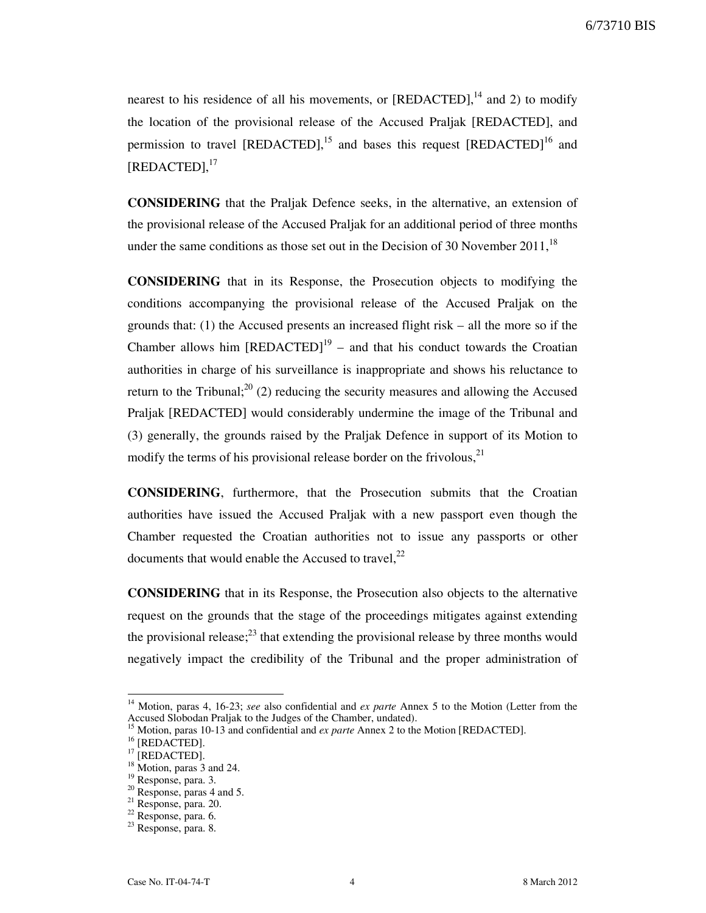nearest to his residence of all his movements, or  $[REDACTED]$ ,<sup>14</sup> and 2) to modify the location of the provisional release of the Accused Praljak [REDACTED], and permission to travel [REDACTED],<sup>15</sup> and bases this request [REDACTED]<sup>16</sup> and [REDACTED], 17

CONSIDERING that the Praljak Defence seeks, in the alternative, an extension of the provisional release of the Accused Praljak for an additional period of three months under the same conditions as those set out in the Decision of 30 November  $2011$ ,<sup>18</sup>

CONSIDERING that in its Response, the Prosecution objects to modifying the conditions accompanying the provisional release of the Accused Praljak on the grounds that: (1) the Accused presents an increased flight risk – all the more so if the Chamber allows him  $[REDACTER]$ <sup>19</sup> – and that his conduct towards the Croatian authorities in charge of his surveillance is inappropriate and shows his reluctance to return to the Tribunal;  $2^{20}$  (2) reducing the security measures and allowing the Accused Praljak [REDACTED] would considerably undermine the image of the Tribunal and (3) generally, the grounds raised by the Praljak Defence in support of its Motion to modify the terms of his provisional release border on the frivolous,<sup>21</sup>

CONSIDERING, furthermore, that the Prosecution submits that the Croatian authorities have issued the Accused Praljak with a new passport even though the Chamber requested the Croatian authorities not to issue any passports or other documents that would enable the Accused to travel, $^{22}$ 

CONSIDERING that in its Response, the Prosecution also objects to the alternative request on the grounds that the stage of the proceedings mitigates against extending the provisional release; $^{23}$  that extending the provisional release by three months would negatively impact the credibility of the Tribunal and the proper administration of

<sup>&</sup>lt;sup>14</sup> Motion, paras 4, 16-23; see also confidential and ex parte Annex 5 to the Motion (Letter from the Accused Slobodan Praljak to the Judges of the Chamber, undated).

Motion, paras 10-13 and confidential and *ex parte* Annex 2 to the Motion [REDACTED].

 $^{16}$  [REDACTED].

 $17$  [REDACTED].

 $18$  Motion, paras 3 and 24.

<sup>&</sup>lt;sup>19</sup> Response, para. 3.

 $20$  Response, paras 4 and 5.

<sup>21</sup> Response, para. 20.

<sup>22</sup> Response, para. 6.

<sup>23</sup> Response, para. 8.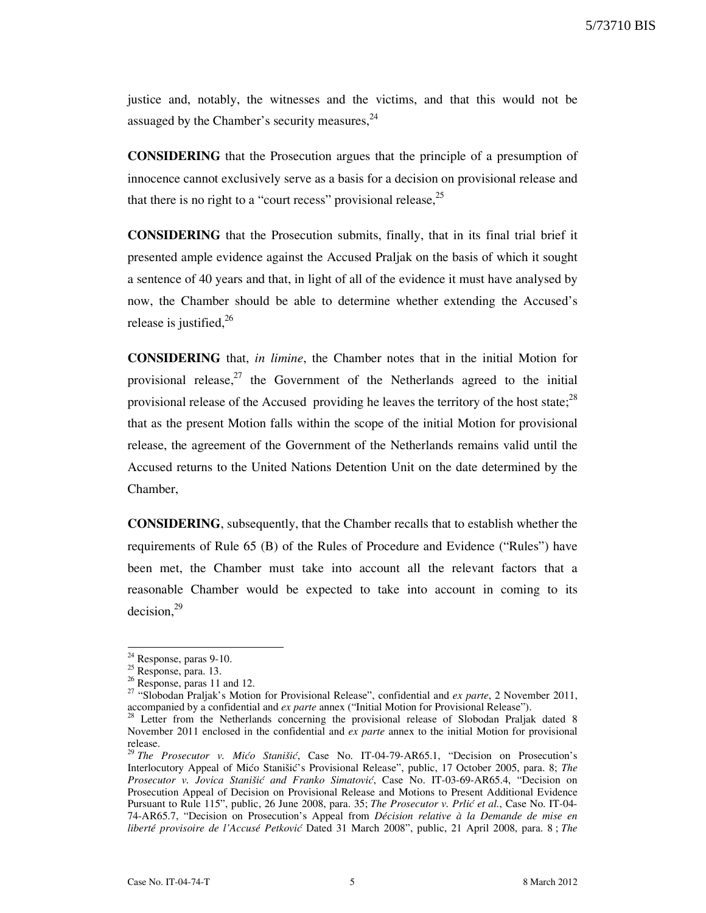5/73710 BIS

justice and, notably, the witnesses and the victims, and that this would not be assuaged by the Chamber's security measures, $24$ 

CONSIDERING that the Prosecution argues that the principle of a presumption of innocence cannot exclusively serve as a basis for a decision on provisional release and that there is no right to a "court recess" provisional release,<sup>25</sup>

CONSIDERING that the Prosecution submits, finally, that in its final trial brief it presented ample evidence against the Accused Praljak on the basis of which it sought a sentence of 40 years and that, in light of all of the evidence it must have analysed by now, the Chamber should be able to determine whether extending the Accused's release is justified, $2^6$ 

CONSIDERING that, in limine, the Chamber notes that in the initial Motion for provisional release, $27$  the Government of the Netherlands agreed to the initial provisional release of the Accused providing he leaves the territory of the host state;<sup>28</sup> that as the present Motion falls within the scope of the initial Motion for provisional release, the agreement of the Government of the Netherlands remains valid until the Accused returns to the United Nations Detention Unit on the date determined by the Chamber,

CONSIDERING, subsequently, that the Chamber recalls that to establish whether the requirements of Rule 65 (B) of the Rules of Procedure and Evidence ("Rules") have been met, the Chamber must take into account all the relevant factors that a reasonable Chamber would be expected to take into account in coming to its decision, $^{29}$ 

 $24$  Response, paras 9-10.

<sup>&</sup>lt;sup>25</sup> Response, para. 13.

 $26$  Response, paras 11 and 12.

<sup>&</sup>lt;sup>27</sup> "Slobodan Praljak's Motion for Provisional Release", confidential and *ex parte*, 2 November 2011, accompanied by a confidential and ex parte annex ("Initial Motion for Provisional Release").

<sup>&</sup>lt;sup>28</sup> Letter from the Netherlands concerning the provisional release of Slobodan Praljak dated 8 November 2011 enclosed in the confidential and ex parte annex to the initial Motion for provisional release.

<sup>&</sup>lt;sup>29</sup> The Prosecutor v. Mićo Stanišić, Case No. IT-04-79-AR65.1, "Decision on Prosecution's Interlocutory Appeal of Mićo Stanišić's Provisional Release", public, 17 October 2005, para. 8; The Prosecutor v. Jovica Stanišić and Franko Simatović, Case No. IT-03-69-AR65.4, "Decision on Prosecution Appeal of Decision on Provisional Release and Motions to Present Additional Evidence Pursuant to Rule 115", public, 26 June 2008, para. 35; The Prosecutor v. Prlić et al., Case No. IT-04-74-AR65.7, "Decision on Prosecution's Appeal from Décision relative à la Demande de mise en liberté provisoire de l'Accusé Petković Dated 31 March 2008", public, 21 April 2008, para. 8 ; The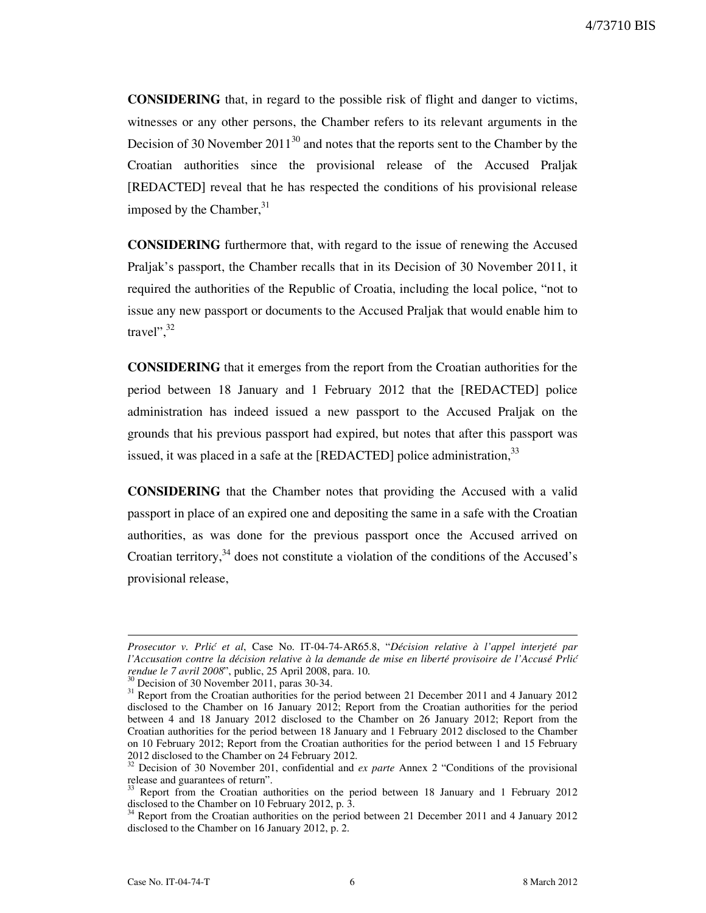CONSIDERING that, in regard to the possible risk of flight and danger to victims, witnesses or any other persons, the Chamber refers to its relevant arguments in the Decision of 30 November  $2011^{30}$  and notes that the reports sent to the Chamber by the Croatian authorities since the provisional release of the Accused Praljak [REDACTED] reveal that he has respected the conditions of his provisional release imposed by the Chamber, $31$ 

CONSIDERING furthermore that, with regard to the issue of renewing the Accused Praljak's passport, the Chamber recalls that in its Decision of 30 November 2011, it required the authorities of the Republic of Croatia, including the local police, "not to issue any new passport or documents to the Accused Praljak that would enable him to travel", $32$ 

CONSIDERING that it emerges from the report from the Croatian authorities for the period between 18 January and 1 February 2012 that the [REDACTED] police administration has indeed issued a new passport to the Accused Praljak on the grounds that his previous passport had expired, but notes that after this passport was issued, it was placed in a safe at the  $[REDACTED]$  police administration,  $33$ 

CONSIDERING that the Chamber notes that providing the Accused with a valid passport in place of an expired one and depositing the same in a safe with the Croatian authorities, as was done for the previous passport once the Accused arrived on Croatian territory, $34$  does not constitute a violation of the conditions of the Accused's provisional release,

Prosecutor v. Prlić et al, Case No. IT-04-74-AR65.8, "Décision relative à l'appel interjeté par l'Accusation contre la décision relative à la demande de mise en liberté provisoire de l'Accusé Prlić rendue le 7 avril 2008", public, 25 April 2008, para. 10.

<sup>&</sup>lt;sup>3</sup> Decision of 30 November 2011, paras 30-34.

<sup>&</sup>lt;sup>31</sup> Report from the Croatian authorities for the period between 21 December 2011 and 4 January 2012 disclosed to the Chamber on 16 January 2012; Report from the Croatian authorities for the period between 4 and 18 January 2012 disclosed to the Chamber on 26 January 2012; Report from the Croatian authorities for the period between 18 January and 1 February 2012 disclosed to the Chamber on 10 February 2012; Report from the Croatian authorities for the period between 1 and 15 February 2012 disclosed to the Chamber on 24 February 2012.

 $32$  Decision of 30 November 201, confidential and ex parte Annex 2 "Conditions of the provisional release and guarantees of return".

<sup>33</sup> Report from the Croatian authorities on the period between 18 January and 1 February 2012 disclosed to the Chamber on 10 February 2012, p. 3.<br> $34$  Benetician dividends on 10 February 2012, p. 3.

<sup>34</sup> Report from the Croatian authorities on the period between 21 December 2011 and 4 January 2012 disclosed to the Chamber on 16 January 2012, p. 2.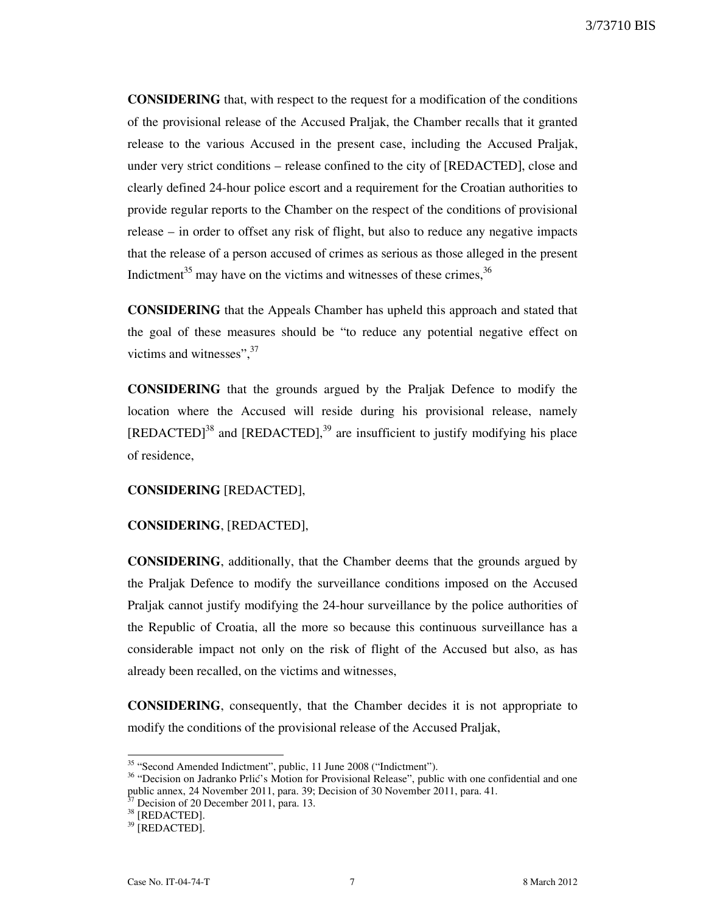CONSIDERING that, with respect to the request for a modification of the conditions of the provisional release of the Accused Praljak, the Chamber recalls that it granted release to the various Accused in the present case, including the Accused Praljak, under very strict conditions – release confined to the city of [REDACTED], close and clearly defined 24-hour police escort and a requirement for the Croatian authorities to provide regular reports to the Chamber on the respect of the conditions of provisional release – in order to offset any risk of flight, but also to reduce any negative impacts that the release of a person accused of crimes as serious as those alleged in the present Indictment<sup>35</sup> may have on the victims and witnesses of these crimes,  $36$ 

CONSIDERING that the Appeals Chamber has upheld this approach and stated that the goal of these measures should be "to reduce any potential negative effect on victims and witnesses",  $37$ 

CONSIDERING that the grounds argued by the Praljak Defence to modify the location where the Accused will reside during his provisional release, namely  $[REDACTED]$ <sup>38</sup> and  $[REDACTED]$ ,<sup>39</sup> are insufficient to justify modifying his place of residence,

#### CONSIDERING [REDACTED],

### CONSIDERING, [REDACTED],

CONSIDERING, additionally, that the Chamber deems that the grounds argued by the Praljak Defence to modify the surveillance conditions imposed on the Accused Praljak cannot justify modifying the 24-hour surveillance by the police authorities of the Republic of Croatia, all the more so because this continuous surveillance has a considerable impact not only on the risk of flight of the Accused but also, as has already been recalled, on the victims and witnesses,

CONSIDERING, consequently, that the Chamber decides it is not appropriate to modify the conditions of the provisional release of the Accused Praljak,

<sup>&</sup>lt;sup>35</sup> "Second Amended Indictment", public, 11 June 2008 ("Indictment").

<sup>&</sup>lt;sup>36</sup> "Decision on Jadranko Prlić's Motion for Provisional Release", public with one confidential and one public annex, 24 November 2011, para. 39; Decision of 30 November 2011, para. 41.

Decision of 20 December 2011, para. 13.

<sup>&</sup>lt;sup>38</sup> [REDACTED].

<sup>&</sup>lt;sup>39</sup> [REDACTED].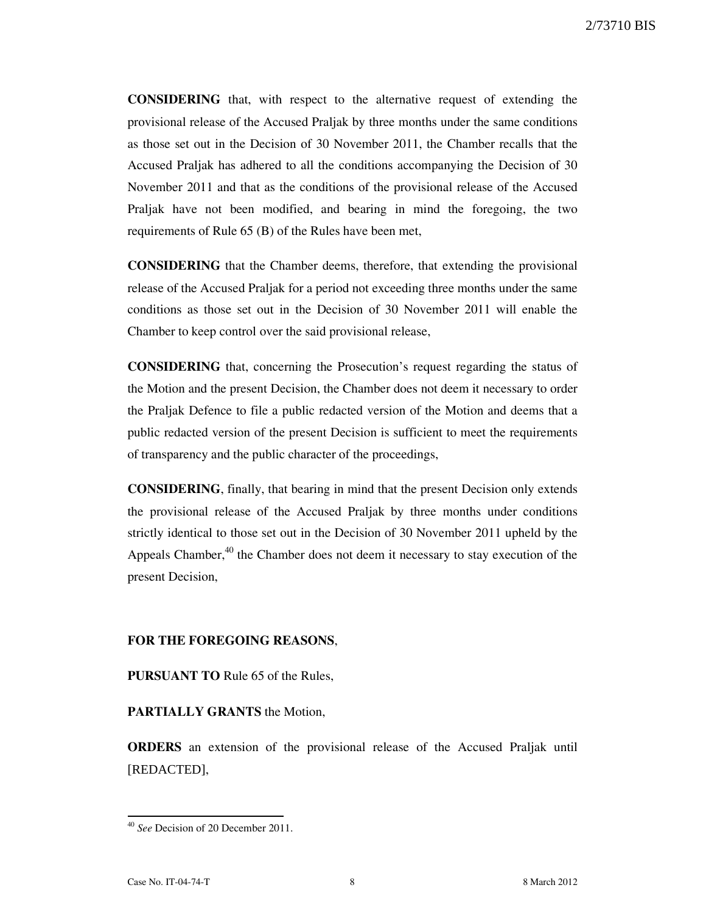CONSIDERING that, with respect to the alternative request of extending the provisional release of the Accused Praljak by three months under the same conditions as those set out in the Decision of 30 November 2011, the Chamber recalls that the Accused Praljak has adhered to all the conditions accompanying the Decision of 30 November 2011 and that as the conditions of the provisional release of the Accused Praljak have not been modified, and bearing in mind the foregoing, the two requirements of Rule 65 (B) of the Rules have been met,

CONSIDERING that the Chamber deems, therefore, that extending the provisional release of the Accused Praljak for a period not exceeding three months under the same conditions as those set out in the Decision of 30 November 2011 will enable the Chamber to keep control over the said provisional release,

CONSIDERING that, concerning the Prosecution's request regarding the status of the Motion and the present Decision, the Chamber does not deem it necessary to order the Praljak Defence to file a public redacted version of the Motion and deems that a public redacted version of the present Decision is sufficient to meet the requirements of transparency and the public character of the proceedings,

CONSIDERING, finally, that bearing in mind that the present Decision only extends the provisional release of the Accused Praljak by three months under conditions strictly identical to those set out in the Decision of 30 November 2011 upheld by the Appeals Chamber,<sup>40</sup> the Chamber does not deem it necessary to stay execution of the present Decision,

### FOR THE FOREGOING REASONS,

PURSUANT TO Rule 65 of the Rules,

## PARTIALLY GRANTS the Motion,

ORDERS an extension of the provisional release of the Accused Praljak until [REDACTED],

<sup>&</sup>lt;sup>40</sup> See Decision of 20 December 2011.